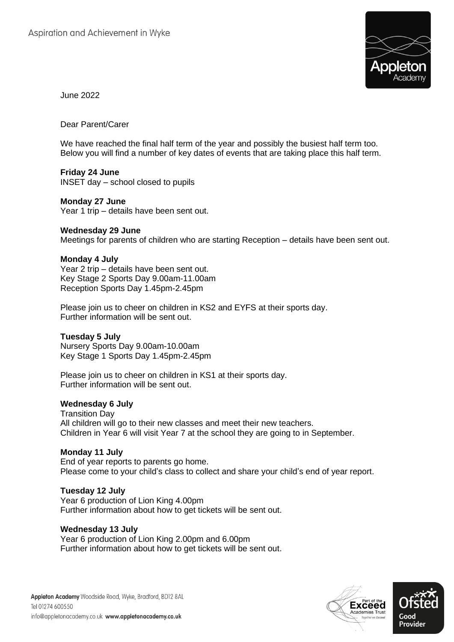

June 2022

Dear Parent/Carer

We have reached the final half term of the year and possibly the busiest half term too. Below you will find a number of key dates of events that are taking place this half term.

#### **Friday 24 June**

INSET day – school closed to pupils

#### **Monday 27 June**

Year 1 trip – details have been sent out.

#### **Wednesday 29 June**

Meetings for parents of children who are starting Reception – details have been sent out.

## **Monday 4 July**

Year 2 trip – details have been sent out. Key Stage 2 Sports Day 9.00am-11.00am Reception Sports Day 1.45pm-2.45pm

Please join us to cheer on children in KS2 and EYFS at their sports day. Further information will be sent out.

#### **Tuesday 5 July**

Nursery Sports Day 9.00am-10.00am Key Stage 1 Sports Day 1.45pm-2.45pm

Please join us to cheer on children in KS1 at their sports day. Further information will be sent out.

#### **Wednesday 6 July**

Transition Day All children will go to their new classes and meet their new teachers. Children in Year 6 will visit Year 7 at the school they are going to in September.

#### **Monday 11 July**

End of year reports to parents go home. Please come to your child's class to collect and share your child's end of year report.

# **Tuesday 12 July**

Year 6 production of Lion King 4.00pm Further information about how to get tickets will be sent out.

#### **Wednesday 13 July**

Year 6 production of Lion King 2.00pm and 6.00pm Further information about how to get tickets will be sent out.